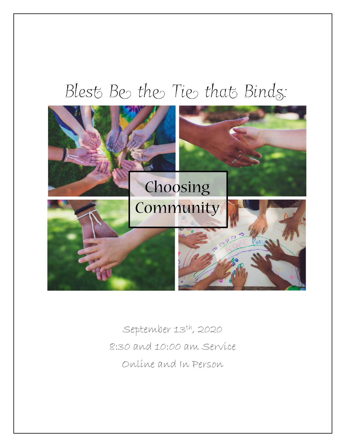# Blest Be the Tie that Binds:



September 13th, 2020 8:30 and 10:00 am Service Online and In Person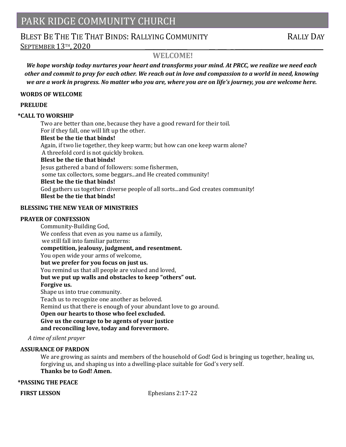## PARK RIDGE COMMUNITY CHURCH

# BLEST BE THE THE THAT BINDS: RALLYING COMMUNITY RALLY DAY

SEPTEMBER 13<sup>TH</sup>, 2020

## **WELCOME!**

*We hope worship today nurtures your heart and transforms your mind. At PRCC, we realize we need each other and commit to pray for each other. We reach out in love and compassion to a world in need, knowing we are a work in progress. No matter who you are, where you are on life's journey, you are welcome here.*

#### **WORDS OF WELCOME**

#### **PRELUDE**

#### **\*CALL TO WORSHIP**

Two are better than one, because they have a good reward for their toil. For if they fall, one will lift up the other.

#### **Blest be the tie that binds!**

Again, if two lie together, they keep warm; but how can one keep warm alone? A threefold cord is not quickly broken.

#### **Blest be the tie that binds!**

Jesus gathered a band of followers: some fishermen,

some tax collectors, some beggars...and He created community!

#### **Blest be the tie that binds!**

God gathers us together: diverse people of all sorts...and God creates community! **Blest be the tie that binds!**

#### **BLESSING THE NEW YEAR OF MINISTRIES**

#### **PRAYER OF CONFESSION**

Community-Building God, We confess that even as you name us a family, we still fall into familiar patterns: **competition, jealousy, judgment, and resentment.** You open wide your arms of welcome, **but we prefer for you focus on just us.** You remind us that all people are valued and loved, **but we put up walls and obstacles to keep "others" out. Forgive us.** Shape us into true community. Teach us to recognize one another as beloved. Remind us that there is enough of your abundant love to go around. **Open our hearts to those who feel excluded. Give us the courage to be agents of your justice and reconciling love, today and forevermore.**

#### *A time of silent prayer*

#### **ASSURANCE OF PARDON**

We are growing as saints and members of the household of God! God is bringing us together, healing us, forgiving us, and shaping us into a dwelling-place suitable for God's very self. **Thanks be to God! Amen.**

#### **\*PASSING THE PEACE**

**FIRST LESSON Ephesians 2:17-22**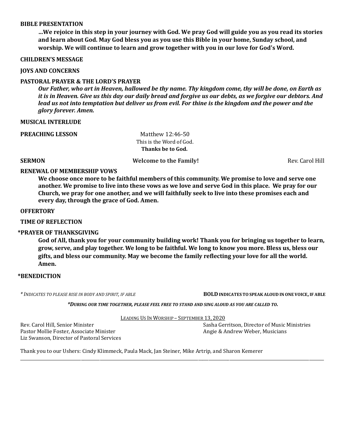#### **BIBLE PRESENTATION**

**…We rejoice in this step in your journey with God. We pray God will guide you as you read its stories and learn about God. May God bless you as you use this Bible in your home, Sunday school, and worship. We will continue to learn and grow together with you in our love for God's Word.**

#### **CHILDREN'S MESSAGE**

**JOYS AND CONCERNS**

#### **PASTORAL PRAYER & THE LORD'S PRAYER**

*Our Father, who art in Heaven, hallowed be thy name. Thy kingdom come, thy will be done, on Earth as it is in Heaven. Give us this day our daily bread and forgive us our debts, as we forgive our debtors. And lead us not into temptation but deliver us from evil. For thine is the kingdom and the power and the glory forever. Amen.*

#### **MUSICAL INTERLUDE**

**PREACHING LESSON Matthew 12:46-50** 

 This is the Word of God.  **Thanks be to God.**

**SERMON** Rev. Carol Hill **Welcome to the Family! Rev. Carol Hill Rev. Carol Hill** 

#### **RENEWAL OF MEMBERSHIP VOWS**

**We choose once more to be faithful members of this community. We promise to love and serve one another. We promise to live into these vows as we love and serve God in this place. We pray for our Church, we pray for one another, and we will faithfully seek to live into these promises each and every day, through the grace of God. Amen.**

#### **OFFERTORY**

#### **TIME OF REFLECTION**

#### **\*PRAYER OF THANKSGIVING**

**God of All, thank you for your community building work! Thank you for bringing us together to learn, grow, serve, and play together. We long to be faithful. We long to know you more. Bless us, bless our gifts, and bless our community. May we become the family reflecting your love for all the world. Amen.**

#### **\*BENEDICTION**

*\* INDICATES TO PLEASE RISE IN BODY AND SPIRIT, IF ABLE* **BOLD INDICATES TO SPEAK ALOUD IN ONE VOICE, IF ABLE**

*\*DURING OUR TIME TOGETHER, PLEASE FEEL FREE TO STAND AND SING ALOUD AS YOU ARE CALLED TO.*

LEADING US IN WORSHIP – SEPTEMBER 13, 2020

\_\_\_\_\_\_\_\_\_\_\_\_\_\_\_\_\_\_\_\_\_\_\_\_\_\_\_\_\_\_\_\_\_\_\_\_\_\_\_\_\_\_\_\_\_\_\_\_\_\_\_\_\_\_\_\_\_\_\_\_\_\_\_\_\_\_\_\_\_\_\_\_\_\_\_\_\_\_\_\_\_\_\_\_\_\_\_\_\_\_\_\_\_\_\_\_\_\_\_\_\_\_\_\_\_\_\_\_\_\_\_\_\_\_\_\_\_\_\_\_\_\_\_\_\_\_\_\_\_\_\_\_\_\_\_\_\_\_\_\_\_\_\_\_\_

Pastor Mollie Foster, Associate Minister Angie & Andrew Weber, Musicians Liz Swanson, Director of Pastoral Services

Rev. Carol Hill, Senior Minister Sasha Gerritson, Director of Music Ministries

Thank you to our Ushers: Cindy Klimmeck, Paula Mack, Jan Steiner, Mike Artrip, and Sharon Kemerer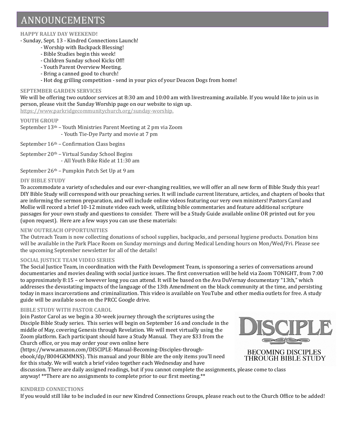# ANNOUNCEMENTS

#### **HAPPY RALLY DAY WEEKEND!**

- Sunday, Sept. 13 - Kindred Connections Launch!

- Worship with Backpack Blessing!
- Bible Studies begin this week!
- Children Sunday school Kicks Off!
- Youth Parent Overview Meeting.
- Bring a canned good to church!
	- Hot dog grilling competition send in your pics of your Deacon Dogs from home!

#### **SEPTEMBER GARDEN SERVICES**

We will be offering two outdoor services at 8:30 am and 10:00 am with livestreaming available. If you would like to join us in person, please visit the Sunday Worship page on our website to sign up.

[https://www.parkridgecommunitychurch.org/sunday-worship.](about:blank) 

#### **YOUTH GROUP**

September 13th – Youth Ministries Parent Meeting at 2 pm via Zoom - Youth Tie-Dye Party and movie at 7 pm

September  $16<sup>th</sup>$  – Confirmation Class begins

September 20th – Virtual Sunday School Begins - All Youth Bike Ride at 11:30 am

September 26th – Pumpkin Patch Set Up at 9 am

#### **DIY BIBLE STUDY**

To accommodate a variety of schedules and our ever-changing realities, we will offer an all new form of Bible Study this year! DIY Bible Study will correspond with our preaching series. It will include current literature, articles, and chapters of books that are informing the sermon preparation, and will include online videos featuring our very own ministers! Pastors Carol and Mollie will record a brief 10-12 minute video each week, utilizing bible commentaries and feature additional scripture passages for your own study and questions to consider. There will be a Study Guide available online OR printed out for you (upon request). Here are a few ways you can use these materials:

#### **NEW OUTREACH OPPORTUNITIES**

The Outreach Team is now collecting donations of school supplies, backpacks, and personal hygiene products. Donation bins will be available in the Park Place Room on Sunday mornings and during Medical Lending hours on Mon/Wed/Fri. Please see the upcoming September newsletter for all of the details!

#### **SOCIAL JUSTICE TEAM VIDEO SERIES**

The Social Justice Team, in coordination with the Faith Development Team, is sponsoring a series of conversations around documentaries and movies dealing with social justice issues. The first conversation will be held via Zoom TONIGHT, from 7:00 to approximately 8:15 – or however long you can attend. It will be based on the Ava DuVernay documentary "13th," which addresses the devastating impacts of the language of the 13th Amendment on the black community at the time, and persisting today in mass incarcerations and criminalization. This video is available on YouTube and other media outlets for free. A study guide will be available soon on the PRCC Google drive.

#### **BIBLE STUDY WITH PASTOR CAROL**

Join Pastor Carol as we begin a 30-week journey through the scriptures using the Disciple Bible Study series. This series will begin on September 16 and conclude in the middle of May, covering Genesis through Revelation. We will meet virtually using the Zoom platform. Each participant should have a Study Manual. They are \$33 from the Church office, or you may order your own online here

(https://www.amazon.com/DISCIPLE-Manual-Becoming-Disciples-throughebook/dp/B004GKMMNS). This manual and your Bible are the only items you'll need for this study. We will watch a brief video together each Wednesday and have



discussion. There are daily assigned readings, but if you cannot complete the assignments, please come to class anyway! \*\*There are no assignments to complete prior to our first meeting.\*\*

#### **KINDRED CONNECTIONS**

If you would still like to be included in our new Kindred Connections Groups, please reach out to the Church Office to be added!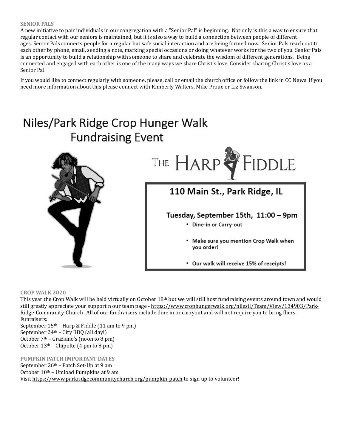#### **SENIOR PALS**

A new initiative to pair individuals in our congregation with a "Senior Pal" is beginning. Not only is this a way to ensure that regular contact with our seniors is maintained, but it is also a way to build a connection between people of different ages. Senior Pals connects people for a regular but safe social interaction and are being formed now. Senior Pals reach out to each other by phone, email, sending a note, marking special occasions or doing whatever works for the two of you. Senior Pals is an opportunity to build a relationship with someone to share and celebrate the wisdom of different generations. Being connected and engaged with each other is one of the many ways we share Christ's love. Consider sharing Christ's love as a Senior Pal.

If you would like to connect regularly with someone, please, call or email the church office or follow the link in CC News. If you need more information about this please connect with Kimberly Walters, Mike Proue or Liz Swanson.

# Niles/Park Ridge Crop Hunger Walk **Fundraising Event**



**CROP WALK 2020**

This year the Crop Walk will be held virtually on October 18th but we will still host fundraising events around town and would still greatly appreciate your support n our team page - [https://www.crophungerwalk.org/nilesil/Team/View/134903/Park-](https://www.crophungerwalk.org/nilesil/Team/View/134903/Park-Ridge-Community-Church)[Ridge-Community-Church](https://www.crophungerwalk.org/nilesil/Team/View/134903/Park-Ridge-Community-Church). All of our fundraisers include dine in or carryout and will not require you to bring fliers. Funraisers:

September 15th – Harp & Fiddle (11 am to 9 pm) September 24th – City BBQ (all day!) October  $7<sup>th</sup>$  – Graziano's (noon to 8 pm) October  $13<sup>th</sup>$  – Chipolte (4 pm to 8 pm)

#### **PUMPKIN PATCH IMPORTANT DATES**

September 26th – Patch Set-Up at 9 am October 10th – Umload Pumpkins at 9 am Visi[t https://www.parkridgecommunitychurch.org/pumpkin-patch](https://www.parkridgecommunitychurch.org/pumpkin-patch) to sign up to volunteer!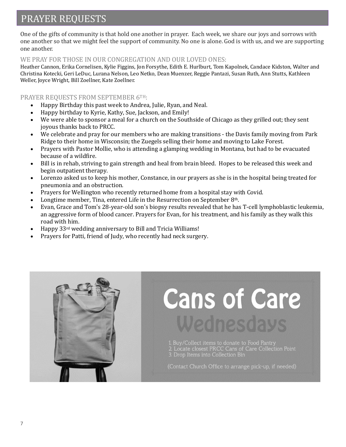# PRAYER REQUESTS

One of the gifts of community is that hold one another in prayer. Each week, we share our joys and sorrows with one another so that we might feel the support of community. No one is alone. God is with us, and we are supporting one another.

#### WE PRAY FOR THOSE IN OUR CONGREGATION AND OUR LOVED ONES:

Heather Cannon, Erika Cornelisen, Kylie Figgins, Jon Forsythe, Edith E. Hurlburt, Tom Kapolnek, Candace Kidston, Walter and Christina Kotecki, Geri LeDuc, Lurana Nelson, Leo Netko, Dean Muenzer, Reggie Pantazi, Susan Ruth, Ann Stutts, Kathleen Weller, Joyce Wright, Bill Zoellner, Kate Zoellner.

### PRAYER REQUESTS FROM SEPTEMBER 6TH:

- Happy Birthday this past week to Andrea, Julie, Ryan, and Neal.
- Happy birthday to Kyrie, Kathy, Sue, Jackson, and Emily!
- We were able to sponsor a meal for a church on the Southside of Chicago as they grilled out; they sent joyous thanks back to PRCC.
- We celebrate and pray for our members who are making transitions the Davis family moving from Park Ridge to their home in Wisconsin; the Zuegels selling their home and moving to Lake Forest.
- Prayers with Pastor Mollie, who is attending a glamping wedding in Montana, but had to be evacuated because of a wildfire.
- Bill is in rehab, striving to gain strength and heal from brain bleed. Hopes to be released this week and begin outpatient therapy.
- Lorenzo asked us to keep his mother, Constance, in our prayers as she is in the hospital being treated for pneumonia and an obstruction.
- Prayers for Wellington who recently returned home from a hospital stay with Covid.
- Longtime member, Tina, entered Life in the Resurrection on September 8th.
- Evan, Grace and Tom's 28-year-old son's biopsy results revealed that he has T-cell lymphoblastic leukemia, an aggressive form of blood cancer. Prayers for Evan, for his treatment, and his family as they walk this road with him.
- Happy 33rd wedding anniversary to Bill and Tricia Williams!
- Prayers for Patti, friend of Judy, who recently had neck surgery.



# **Cans of Care** Wednesdays

1. Buy/Collect items to donate to Food Pantry<br>2. Locate closest PRCC Cans of Care Collection Point<br>3. Drop Items into Collection Bin

(Contact Church Office to arrange pick-up, if needed)